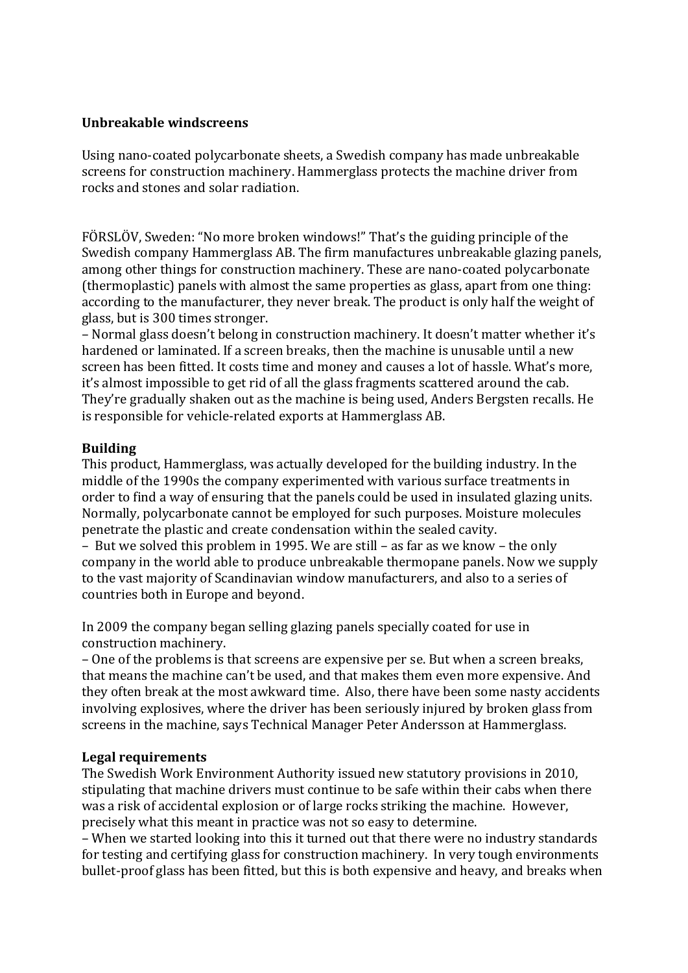# **Unbreakable windscreens**

Using nano-coated polycarbonate sheets, a Swedish company has made unbreakable screens for construction machinery. Hammerglass protects the machine driver from rocks and stones and solar radiation.

FÖRSLÖV, Sweden: "No more broken windows!" That's the guiding principle of the Swedish company Hammerglass AB. The firm manufactures unbreakable glazing panels, among other things for construction machinery. These are nano-coated polycarbonate (thermoplastic) panels with almost the same properties as glass, apart from one thing: according to the manufacturer, they never break. The product is only half the weight of glass, but is 300 times stronger.

– Normal glass doesn't belong in construction machinery. It doesn't matter whether it's hardened or laminated. If a screen breaks, then the machine is unusable until a new screen has been fitted. It costs time and money and causes a lot of hassle. What's more, it's almost impossible to get rid of all the glass fragments scattered around the cab. They're gradually shaken out as the machine is being used, Anders Bergsten recalls. He is responsible for vehicle-related exports at Hammerglass AB.

## **Building**

This product, Hammerglass, was actually developed for the building industry. In the middle of the 1990s the company experimented with various surface treatments in order to find a way of ensuring that the panels could be used in insulated glazing units. Normally, polycarbonate cannot be employed for such purposes. Moisture molecules penetrate the plastic and create condensation within the sealed cavity.

– But we solved this problem in 1995. We are still – as far as we know – the only company in the world able to produce unbreakable thermopane panels. Now we supply to the vast majority of Scandinavian window manufacturers, and also to a series of countries both in Europe and beyond.

In 2009 the company began selling glazing panels specially coated for use in construction machinery.

– One of the problems is that screens are expensive per se. But when a screen breaks, that means the machine can't be used, and that makes them even more expensive. And they often break at the most awkward time. Also, there have been some nasty accidents involving explosives, where the driver has been seriously injured by broken glass from screens in the machine, says Technical Manager Peter Andersson at Hammerglass.

### **Legal requirements**

The Swedish Work Environment Authority issued new statutory provisions in 2010, stipulating that machine drivers must continue to be safe within their cabs when there was a risk of accidental explosion or of large rocks striking the machine. However, precisely what this meant in practice was not so easy to determine.

– When we started looking into this it turned out that there were no industry standards for testing and certifying glass for construction machinery. In very tough environments bullet-proof glass has been fitted, but this is both expensive and heavy, and breaks when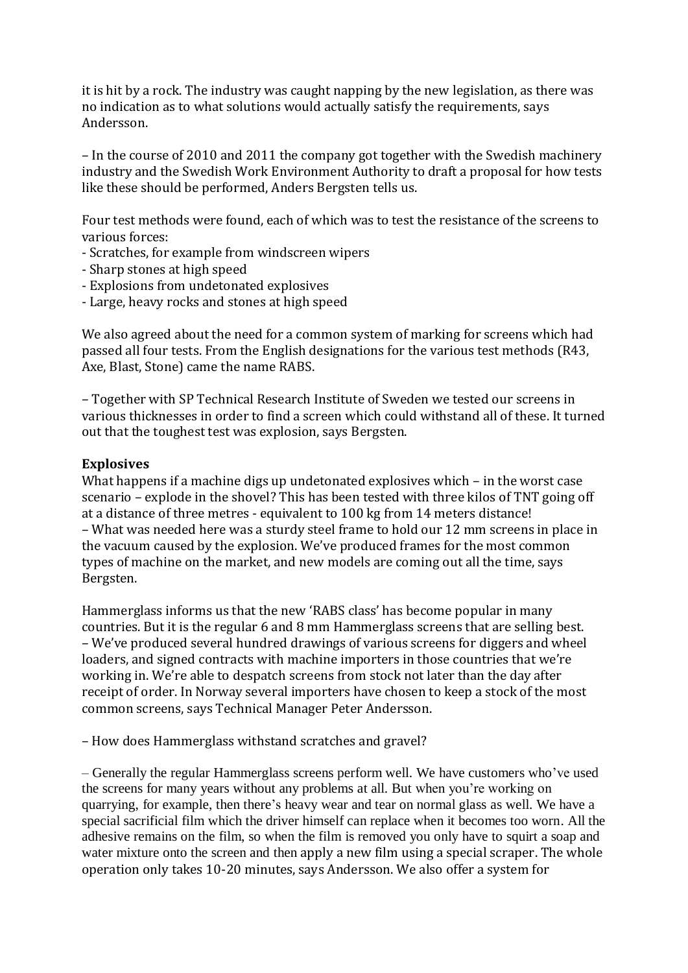it is hit by a rock. The industry was caught napping by the new legislation, as there was no indication as to what solutions would actually satisfy the requirements, says Andersson.

– In the course of 2010 and 2011 the company got together with the Swedish machinery industry and the Swedish Work Environment Authority to draft a proposal for how tests like these should be performed, Anders Bergsten tells us.

Four test methods were found, each of which was to test the resistance of the screens to various forces:

- Scratches, for example from windscreen wipers
- Sharp stones at high speed
- Explosions from undetonated explosives
- Large, heavy rocks and stones at high speed

We also agreed about the need for a common system of marking for screens which had passed all four tests. From the English designations for the various test methods (R43, Axe, Blast, Stone) came the name RABS.

– Together with SP Technical Research Institute of Sweden we tested our screens in various thicknesses in order to find a screen which could withstand all of these. It turned out that the toughest test was explosion, says Bergsten.

## **Explosives**

What happens if a machine digs up undetonated explosives which – in the worst case scenario – explode in the shovel? This has been tested with three kilos of TNT going off at a distance of three metres - equivalent to 100 kg from 14 meters distance! – What was needed here was a sturdy steel frame to hold our 12 mm screens in place in the vacuum caused by the explosion. We've produced frames for the most common types of machine on the market, and new models are coming out all the time, says Bergsten.

Hammerglass informs us that the new 'RABS class' has become popular in many countries. But it is the regular 6 and 8 mm Hammerglass screens that are selling best. – We've produced several hundred drawings of various screens for diggers and wheel loaders, and signed contracts with machine importers in those countries that we're working in. We're able to despatch screens from stock not later than the day after receipt of order. In Norway several importers have chosen to keep a stock of the most common screens, says Technical Manager Peter Andersson.

– How does Hammerglass withstand scratches and gravel?

– Generally the regular Hammerglass screens perform well. We have customers who've used the screens for many years without any problems at all. But when you're working on quarrying, for example, then there's heavy wear and tear on normal glass as well. We have a special sacrificial film which the driver himself can replace when it becomes too worn. All the adhesive remains on the film, so when the film is removed you only have to squirt a soap and water mixture onto the screen and then apply a new film using a special scraper. The whole operation only takes 10-20 minutes, says Andersson. We also offer a system for